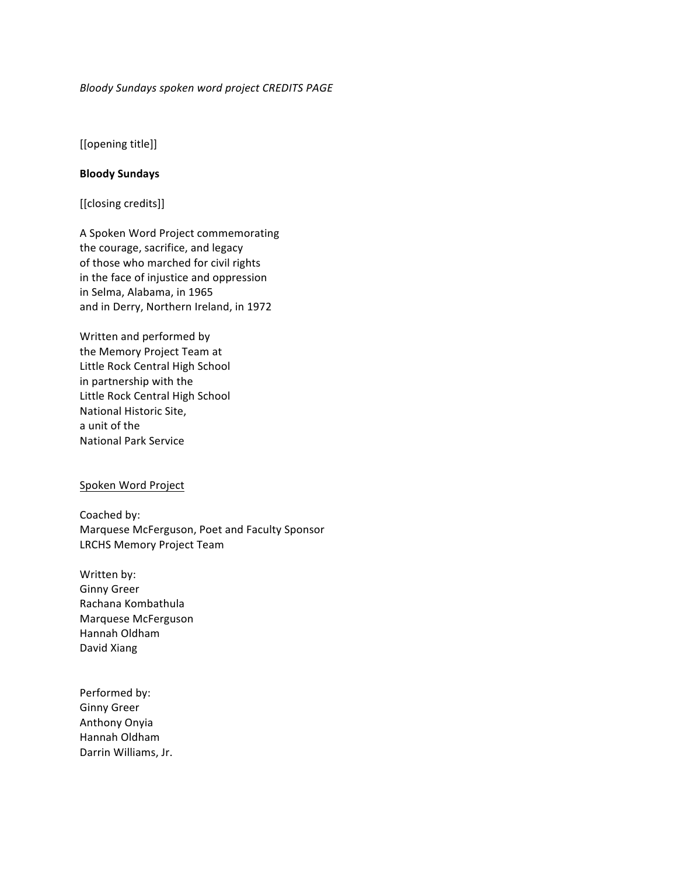# *Bloody Sundays spoken word project CREDITS PAGE*

[[opening title]]

# **Bloody Sundays**

[[closing credits]]

A Spoken Word Project commemorating the courage, sacrifice, and legacy of those who marched for civil rights in the face of injustice and oppression in Selma, Alabama, in 1965 and in Derry, Northern Ireland, in 1972

Written and performed by the Memory Project Team at Little Rock Central High School in partnership with the Little Rock Central High School National Historic Site, a unit of the National Park Service

### Spoken Word Project

Coached by: Marquese McFerguson, Poet and Faculty Sponsor LRCHS Memory Project Team

Written by: Ginny Greer Rachana Kombathula Marquese McFerguson Hannah Oldham David Xiang

Performed by: Ginny Greer Anthony Onyia Hannah Oldham Darrin Williams, Jr.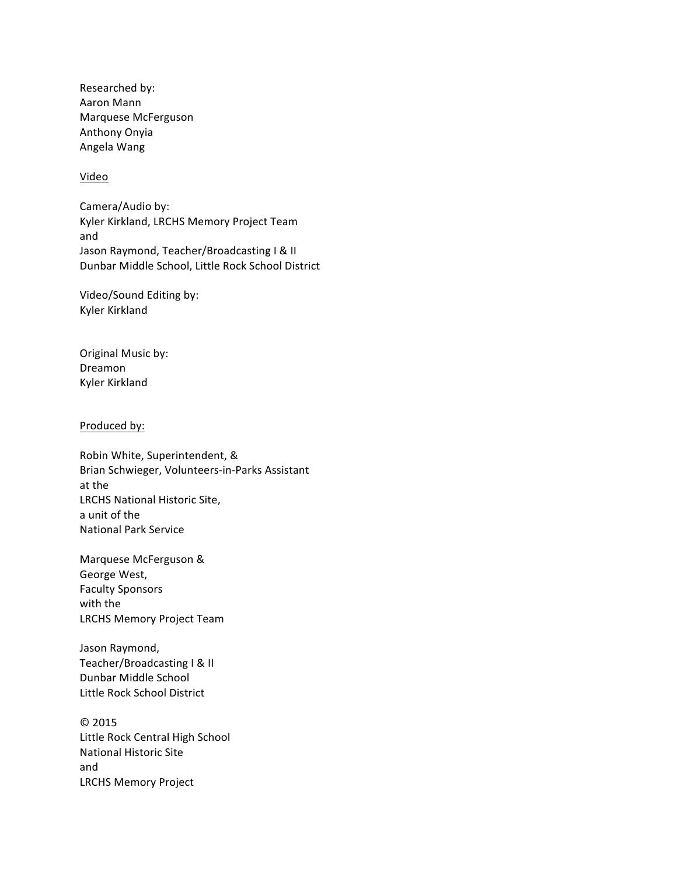Researched by: Aaron Mann Marquese McFerguson Anthony Onyia Angela Wang

# Video

Camera/Audio by: Kyler Kirkland, LRCHS Memory Project Team and Jason Raymond, Teacher/Broadcasting I & II Dunbar Middle School, Little Rock School District

Video/Sound Editing by: Kyler Kirkland

Original Music by: Dreamon Kyler Kirkland

### Produced by:

Robin White, Superintendent, & Brian Schwieger, Volunteers-in-Parks Assistant at the LRCHS National Historic Site, a unit of the **National Park Service** 

Marquese McFerguson & George West, Faculty Sponsors with the LRCHS Memory Project Team

Jason Raymond, Teacher/Broadcasting I & II Dunbar Middle School Little Rock School District

© 2015 Little Rock Central High School **National Historic Site** and LRCHS Memory Project